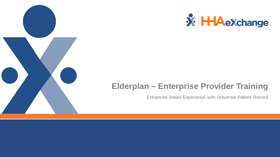

### **Elderplan – Enterprise Provider Training**

Enhanced linked Experience with Universal Patient Record

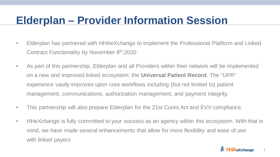## **Elderplan – Provider Information Session**

- Elderplan has partnered with HHAeXchange to implement the Professional Platform and Linked Contract Functionality by November 8th,2020
- As part of this partnership, Elderplan and all Providers within their network will be implemented on a new and improved linked ecosystem: the **Universal Patient Record**. The "UPR" experience vastly improves upon core workflows including (but not limited to) patient management, communications, authorization management, and payment integrity.
- This partnership will also prepare Elderplan for the 21st Cures Act and EVV compliance.
- HHeXchange is fully committed to your success as an agency within this ecosystem. With that in mind, we have made several enhancements that allow for more flexibility and ease of use with linked payers



1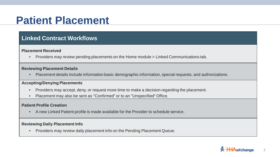### **Patient Placement**

### **Linked Contract Workflows**

#### **Placement Received**

• Providers may review pending placements on the Home module > Linked Communications tab.

#### **Reviewing Placement Details**

• Placement details include information basic demographic information, special requests, and authorizations.

#### **Accepting/Denying Placements**

- Providers may accept, deny, or request more time to make a decision regarding the placement.
- Placement may also be sent as "Confirmed" or to an "Unspecified" Office.

#### **Patient Profile Creation**

• A new Linked Patient profile is made available for the Provider to schedule service.

#### **Reviewing Daily Placement Info**

• Providers may review daily placement info on the Pending Placement Queue.

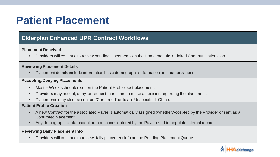### **Patient Placement**

### **Elderplan Enhanced UPR Contract Workflows**

#### **Placement Received**

• Providers will continue to review pending placements on the Home module > Linked Communications tab.

#### **Reviewing Placement Details**

• Placement details include information basic demographic information and authorizations.

#### **Accepting/Denying Placements**

- Master Week schedules set on the Patient Profile post-placement.
- Providers may accept, deny, or request more time to make a decision regarding the placement.
- Placements may also be sent as "Confirmed" or to an "Unspecified" Office.

#### **Patient Profile Creation**

- A new Contract for the associated Payer is automatically assigned (whether Accepted by the Provider or sent as a Confirmed placement.
- Any demographic data/patient authorizations entered by the Payer used to populate Internal record.

#### **Reviewing Daily Placement Info**

• Providers will continue to review daily placement info on the Pending Placement Queue.

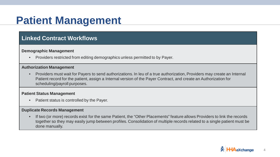### **Patient Management**

### **Linked Contract Workflows**

#### **Demographic Management**

• Providers restricted from editing demographics unless permitted to by Payer.

#### **Authorization Management**

• Providers must wait for Payers to send authorizations. In leu of a true authorization, Providers may create an Internal Patient record for the patient, assign a Internal version of the Payer Contract, and create an Authorization for scheduling/payroll purposes.

#### **Patient Status Management**

• Patient status is controlled by the Payer.

#### **Duplicate Records Management**

• If two (or more) records exist for the same Patient, the "Other Placements" feature allows Providers to link the records together so they may easily jump between profiles. Consolidation of multiple records related to a single patient must be done manually.

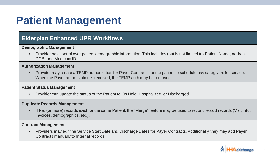### **Patient Management**

### **Elderplan Enhanced UPR Workflows**

#### **Demographic Management**

• Provider has control over patient demographic information. This includes (but is not limited to) Patient Name, Address, DOB, and Medicaid ID.

#### **Authorization Management**

• Provider may create a TEMP authorization for Payer Contracts for the patient to schedule/pay caregivers for service. When the Payer authorization is received, the TEMP auth may be removed.

#### **Patient Status Management**

• Provider can update the status of the Patient to On Hold, Hospitalized, or Discharged.

#### **Duplicate Records Management**

• If two (or more) records exist for the same Patient, the "Merge" feature may be used to reconcile said records (Visit info, Invoices, demographics, etc.).

#### **Contract Management**

• Providers may edit the Service Start Date and Discharge Dates for Payer Contracts. Additionally, they may add Payer Contracts manually to Internal records.



5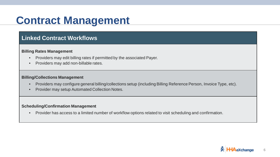## **Contract Management**

### **Linked Contract Workflows**

#### **Billing Rates Management**

- Providers may edit billing rates if permitted by the associated Payer.
- Providers may add non-billable rates.

#### **Billing/Collections Management**

- Providers may configure general billing/collections setup (including Billing Reference Person, Invoice Type, etc).
- Provider may setup Automated Collection Notes.

#### **Scheduling/Confirmation Management**

• Provider has access to a limited number of workflow options related to visit scheduling and confirmation.

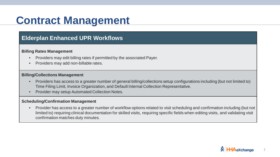## **Contract Management**

### **Elderplan Enhanced UPR Workflows**

#### **Billing Rates Management**

- Providers may edit billing rates if permitted by the associated Payer.
- Providers may add non-billable rates.

#### **Billing/Collections Management**

- Providers has access to a greater number of general billing/collections setup configurations including (but not limited to) Time Filing Limit, Invoice Organization, and Default Internal Collection Representative.
- Provider may setup Automated Collection Notes.

#### **Scheduling/Confirmation Management**

• Provider has access to a greater number of workflow options related to visit scheduling and confirmation including (but not limited to) requiring clinical documentation for skilled visits, requiring specific fields when editing visits, and validating visit confirmation matches duty minutes.

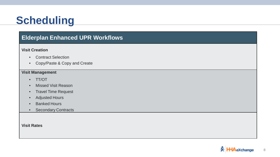# **Scheduling**

### **Elderplan Enhanced UPR Workflows**

#### **Visit Creation**

- Contract Selection
- Copy/Paste & Copy and Create

#### **Visit Management**

- TT/OT
- Missed Visit Reason
- Travel Time Request
- Adjusted Hours
- Banked Hours
- Secondary Contracts

**Visit Rates**

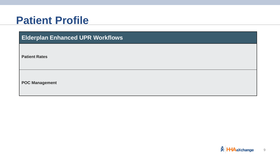### **Patient Profile**

**Elderplan Enhanced UPR Workflows**

**Patient Rates**

**POC Management**

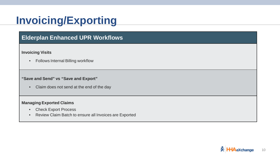## **Invoicing/Exporting**

### **Elderplan Enhanced UPR Workflows**

#### **Invoicing Visits**

• Follows Internal Billing workflow

#### **"Save and Send" vs "Save and Export"**

• Claim does not send at the end of the day

#### **Managing Exported Claims**

- Check Export Process
- Review Claim Batch to ensure all Invoices are Exported

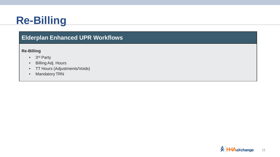## **Re-Billing**

### **Elderplan Enhanced UPR Workflows**

#### **Re-Billing**

- 3rd Party
- Billing Adj. Hours
- TT Hours (Adjustments/Voids)
- Mandatory TRN

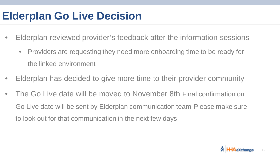### **Elderplan Go Live Decision**

- Elderplan reviewed provider's feedback after the information sessions
	- Providers are requesting they need more onboarding time to be ready for the linked environment
- Elderplan has decided to give more time to their provider community
- The Go Live date will be moved to November 8th Final confirmation on Go Live date will be sent by Elderplan communication team-Please make sure to look out for that communication in the next few days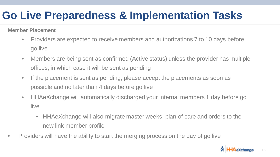## **Go Live Preparedness & Implementation Tasks**

**Member Placement**

- Providers are expected to receive members and authorizations 7 to 10 days before go live
- Members are being sent as confirmed (Active status) unless the provider has multiple offices, in which case it will be sent as pending
- If the placement is sent as pending, please accept the placements as soon as possible and no later than 4 days before go live
- HHAeXchange will automatically discharged your internal members 1 day before go live
	- HHAeXchange will also migrate master weeks, plan of care and orders to the new link member profile
- Providers will have the ability to start the merging process on the day of go live

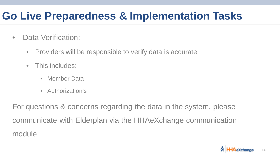## **Go Live Preparedness & Implementation Tasks**

- Data Verification:
	- Providers will be responsible to verify data is accurate
	- This includes:
		- Member Data
		- Authorization's

For questions & concerns regarding the data in the system, please communicate with Elderplan via the HHAeXchange communication module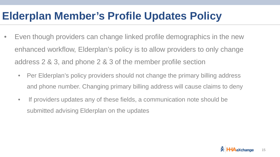## **Elderplan Member's Profile Updates Policy**

- Even though providers can change linked profile demographics in the new enhanced workflow, Elderplan's policy is to allow providers to only change address 2 & 3, and phone 2 & 3 of the member profile section
	- Per Elderplan's policy providers should not change the primary billing address and phone number. Changing primary billing address will cause claims to deny
	- If providers updates any of these fields, a communication note should be submitted advising Elderplan on the updates